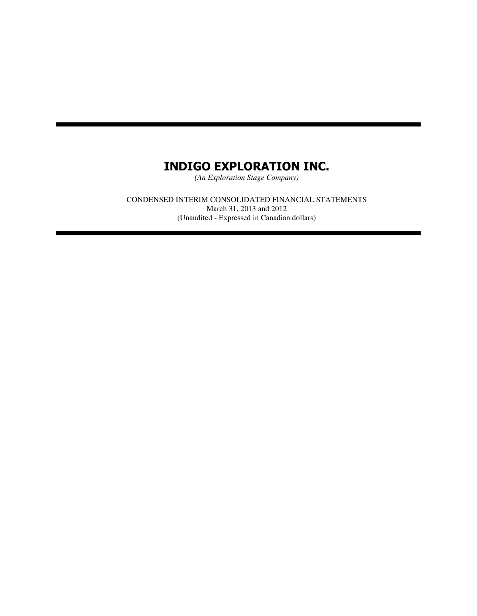*(An Exploration Stage Company)*

CONDENSED INTERIM CONSOLIDATED FINANCIAL STATEMENTS March 31, 2013 and 2012 (Unaudited - Expressed in Canadian dollars)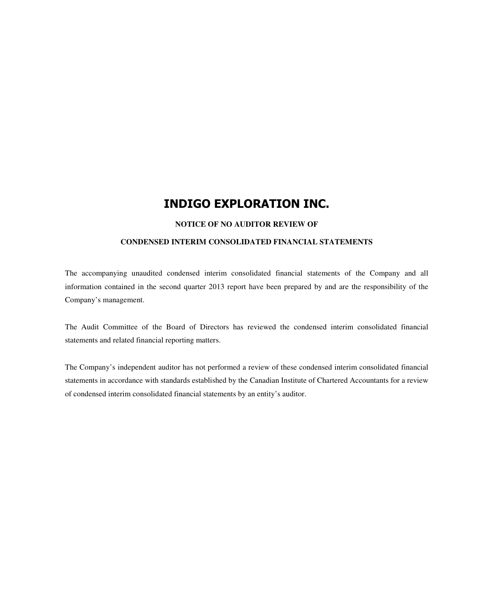#### **NOTICE OF NO AUDITOR REVIEW OF**

#### **CONDENSED INTERIM CONSOLIDATED FINANCIAL STATEMENTS**

The accompanying unaudited condensed interim consolidated financial statements of the Company and all information contained in the second quarter 2013 report have been prepared by and are the responsibility of the Company's management.

The Audit Committee of the Board of Directors has reviewed the condensed interim consolidated financial statements and related financial reporting matters.

The Company's independent auditor has not performed a review of these condensed interim consolidated financial statements in accordance with standards established by the Canadian Institute of Chartered Accountants for a review of condensed interim consolidated financial statements by an entity's auditor.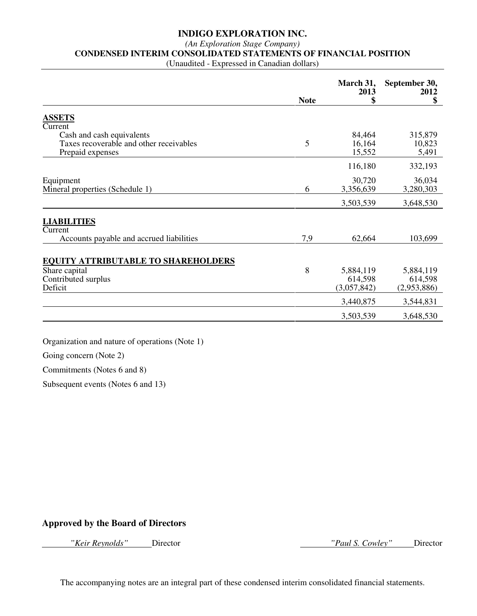#### *(An Exploration Stage Company)*

#### **CONDENSED INTERIM CONSOLIDATED STATEMENTS OF FINANCIAL POSITION**

(Unaudited - Expressed in Canadian dollars)

| <b>ASSETS</b><br>Current<br>84,464<br>315,879<br>Cash and cash equivalents<br>5<br>Taxes recoverable and other receivables<br>16,164<br>10,823<br>15,552<br>5,491<br>Prepaid expenses<br>116,180<br>30,720<br>36,034<br>Equipment<br>3,280,303<br>6<br>3,356,639<br>Mineral properties (Schedule 1) |             | March 31,<br>2013 | September 30,<br>2012 |
|-----------------------------------------------------------------------------------------------------------------------------------------------------------------------------------------------------------------------------------------------------------------------------------------------------|-------------|-------------------|-----------------------|
|                                                                                                                                                                                                                                                                                                     | <b>Note</b> | \$                | \$                    |
|                                                                                                                                                                                                                                                                                                     |             |                   |                       |
|                                                                                                                                                                                                                                                                                                     |             |                   |                       |
|                                                                                                                                                                                                                                                                                                     |             |                   |                       |
|                                                                                                                                                                                                                                                                                                     |             |                   |                       |
|                                                                                                                                                                                                                                                                                                     |             |                   |                       |
|                                                                                                                                                                                                                                                                                                     |             |                   | 332,193               |
|                                                                                                                                                                                                                                                                                                     |             |                   |                       |
|                                                                                                                                                                                                                                                                                                     |             |                   |                       |
|                                                                                                                                                                                                                                                                                                     |             |                   |                       |
|                                                                                                                                                                                                                                                                                                     |             | 3,503,539         | 3,648,530             |
|                                                                                                                                                                                                                                                                                                     |             |                   |                       |
| <b>LIABILITIES</b>                                                                                                                                                                                                                                                                                  |             |                   |                       |
| Current                                                                                                                                                                                                                                                                                             |             |                   |                       |
| 7,9<br>Accounts payable and accrued liabilities<br>62,664                                                                                                                                                                                                                                           |             |                   | 103,699               |
|                                                                                                                                                                                                                                                                                                     |             |                   |                       |
| <b>EQUITY ATTRIBUTABLE TO SHAREHOLDERS</b>                                                                                                                                                                                                                                                          |             |                   |                       |
| 8<br>Share capital<br>5,884,119                                                                                                                                                                                                                                                                     |             |                   | 5,884,119             |
| Contributed surplus<br>614,598                                                                                                                                                                                                                                                                      |             |                   | 614,598               |
| Deficit<br>(3,057,842)                                                                                                                                                                                                                                                                              |             |                   | (2,953,886)           |
| 3,440,875                                                                                                                                                                                                                                                                                           |             |                   | 3,544,831             |
| 3,503,539                                                                                                                                                                                                                                                                                           |             |                   | 3,648,530             |

Organization and nature of operations (Note 1)

Going concern (Note 2)

Commitments (Notes 6 and 8)

Subsequent events (Notes 6 and 13)

## **Approved by the Board of Directors**

 *"Keir Reynolds"* Director *"Paul S. Cowley"* Director

The accompanying notes are an integral part of these condensed interim consolidated financial statements.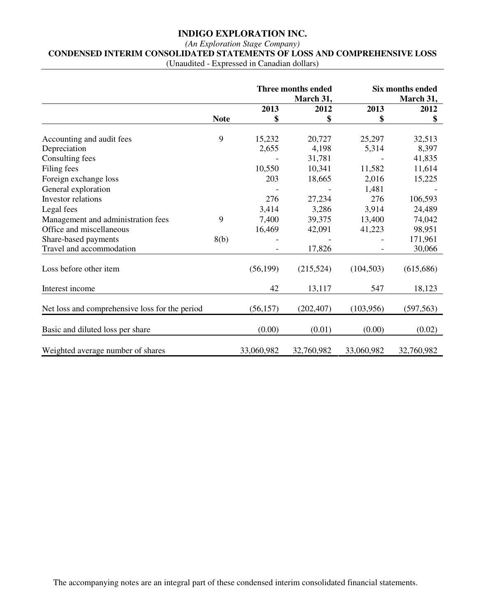## *(An Exploration Stage Company)*  **CONDENSED INTERIM CONSOLIDATED STATEMENTS OF LOSS AND COMPREHENSIVE LOSS**

(Unaudited - Expressed in Canadian dollars)

|                                                | March 31,   |            | <b>Three months ended</b> |            | Six months ended<br>March 31, |
|------------------------------------------------|-------------|------------|---------------------------|------------|-------------------------------|
|                                                |             | 2013       | 2012                      | 2013       | 2012                          |
|                                                | <b>Note</b> | \$         | \$                        | \$         | \$                            |
| Accounting and audit fees                      | 9           | 15,232     | 20,727                    | 25,297     | 32,513                        |
| Depreciation                                   |             | 2,655      | 4,198                     | 5,314      | 8,397                         |
| Consulting fees                                |             |            | 31,781                    |            | 41,835                        |
| Filing fees                                    |             | 10,550     | 10,341                    | 11,582     | 11,614                        |
| Foreign exchange loss                          |             | 203        | 18,665                    | 2,016      | 15,225                        |
| General exploration                            |             |            |                           | 1,481      |                               |
| Investor relations                             |             | 276        | 27,234                    | 276        | 106,593                       |
| Legal fees                                     |             | 3,414      | 3,286                     | 3,914      | 24,489                        |
| Management and administration fees             | 9           | 7,400      | 39,375                    | 13,400     | 74,042                        |
| Office and miscellaneous                       |             | 16,469     | 42,091                    | 41,223     | 98,951                        |
| Share-based payments                           | 8(b)        |            |                           |            | 171,961                       |
| Travel and accommodation                       |             |            | 17,826                    |            | 30,066                        |
| Loss before other item                         |             | (56, 199)  | (215,524)                 | (104, 503) | (615, 686)                    |
| Interest income                                |             | 42         | 13,117                    | 547        | 18,123                        |
| Net loss and comprehensive loss for the period |             | (56, 157)  | (202, 407)                | (103,956)  | (597, 563)                    |
| Basic and diluted loss per share               |             | (0.00)     | (0.01)                    | (0.00)     | (0.02)                        |
| Weighted average number of shares              |             | 33,060,982 | 32,760,982                | 33,060,982 | 32,760,982                    |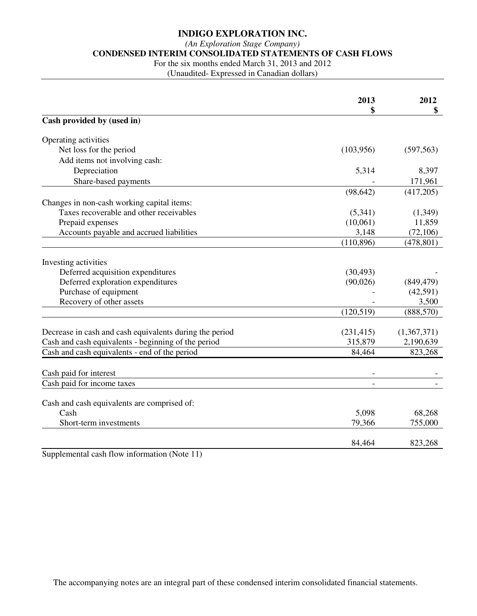#### *(An Exploration Stage Company)*

**CONDENSED INTERIM CONSOLIDATED STATEMENTS OF CASH FLOWS** 

For the six months ended March 31, 2013 and 2012

(Unaudited- Expressed in Canadian dollars)

|                                                           | 2013<br>\$ | 2012<br>\$  |
|-----------------------------------------------------------|------------|-------------|
| Cash provided by (used in)                                |            |             |
| Operating activities                                      |            |             |
| Net loss for the period                                   | (103,956)  | (597, 563)  |
| Add items not involving cash:                             |            |             |
| Depreciation                                              | 5,314      | 8,397       |
| Share-based payments                                      |            | 171,961     |
|                                                           | (98, 642)  | (417,205)   |
| Changes in non-cash working capital items:                |            |             |
| Taxes recoverable and other receivables                   | (5,341)    | (1,349)     |
| Prepaid expenses                                          | (10,061)   | 11,859      |
| Accounts payable and accrued liabilities                  | 3,148      | (72,106)    |
|                                                           | (110, 896) | (478, 801)  |
|                                                           |            |             |
| Investing activities<br>Deferred acquisition expenditures | (30, 493)  |             |
| Deferred exploration expenditures                         | (90,026)   | (849, 479)  |
| Purchase of equipment                                     |            | (42,591)    |
| Recovery of other assets                                  |            | 3,500       |
|                                                           | (120, 519) | (888, 570)  |
|                                                           |            |             |
| Decrease in cash and cash equivalents during the period   | (231, 415) | (1,367,371) |
| Cash and cash equivalents - beginning of the period       | 315,879    | 2,190,639   |
| Cash and cash equivalents - end of the period             | 84,464     | 823,268     |
|                                                           |            |             |
| Cash paid for interest                                    |            |             |
| Cash paid for income taxes                                |            |             |
|                                                           |            |             |
| Cash and cash equivalents are comprised of:<br>Cash       | 5,098      | 68,268      |
| Short-term investments                                    | 79,366     | 755,000     |
|                                                           |            |             |
|                                                           | 84,464     | 823,268     |

Supplemental cash flow information (Note 11)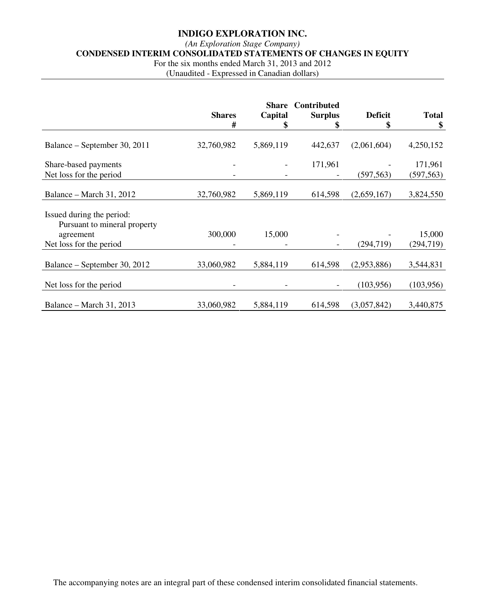#### *(An Exploration Stage Company)*

**CONDENSED INTERIM CONSOLIDATED STATEMENTS OF CHANGES IN EQUITY** 

For the six months ended March 31, 2013 and 2012

(Unaudited - Expressed in Canadian dollars)

|                                                                                                   | <b>Shares</b><br># | <b>Share</b><br>Capital<br>\$ | Contributed<br><b>Surplus</b> | <b>Deficit</b><br>\$ | <b>Total</b><br>\$    |
|---------------------------------------------------------------------------------------------------|--------------------|-------------------------------|-------------------------------|----------------------|-----------------------|
| Balance – September 30, 2011                                                                      | 32,760,982         | 5,869,119                     | 442,637                       | (2,061,604)          | 4,250,152             |
| Share-based payments<br>Net loss for the period                                                   |                    |                               | 171,961                       | (597, 563)           | 171,961<br>(597, 563) |
| Balance – March 31, 2012                                                                          | 32,760,982         | 5,869,119                     | 614,598                       | (2,659,167)          | 3,824,550             |
| Issued during the period:<br>Pursuant to mineral property<br>agreement<br>Net loss for the period | 300,000            | 15,000                        |                               | (294, 719)           | 15,000<br>(294, 719)  |
| Balance – September 30, 2012                                                                      | 33,060,982         | 5,884,119                     | 614,598                       | (2,953,886)          | 3,544,831             |
| Net loss for the period                                                                           |                    |                               |                               | (103, 956)           | (103, 956)            |
| Balance – March 31, 2013                                                                          | 33,060,982         | 5,884,119                     | 614,598                       | (3,057,842)          | 3,440,875             |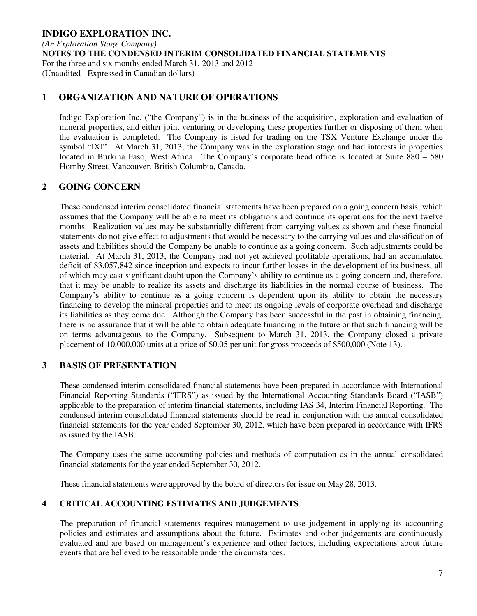## **1 ORGANIZATION AND NATURE OF OPERATIONS**

Indigo Exploration Inc. ("the Company") is in the business of the acquisition, exploration and evaluation of mineral properties, and either joint venturing or developing these properties further or disposing of them when the evaluation is completed. The Company is listed for trading on the TSX Venture Exchange under the symbol "IXI". At March 31, 2013, the Company was in the exploration stage and had interests in properties located in Burkina Faso, West Africa. The Company's corporate head office is located at Suite 880 – 580 Hornby Street, Vancouver, British Columbia, Canada.

## **2 GOING CONCERN**

These condensed interim consolidated financial statements have been prepared on a going concern basis, which assumes that the Company will be able to meet its obligations and continue its operations for the next twelve months. Realization values may be substantially different from carrying values as shown and these financial statements do not give effect to adjustments that would be necessary to the carrying values and classification of assets and liabilities should the Company be unable to continue as a going concern. Such adjustments could be material. At March 31, 2013, the Company had not yet achieved profitable operations, had an accumulated deficit of \$3,057,842 since inception and expects to incur further losses in the development of its business, all of which may cast significant doubt upon the Company's ability to continue as a going concern and, therefore, that it may be unable to realize its assets and discharge its liabilities in the normal course of business. The Company's ability to continue as a going concern is dependent upon its ability to obtain the necessary financing to develop the mineral properties and to meet its ongoing levels of corporate overhead and discharge its liabilities as they come due. Although the Company has been successful in the past in obtaining financing, there is no assurance that it will be able to obtain adequate financing in the future or that such financing will be on terms advantageous to the Company. Subsequent to March 31, 2013, the Company closed a private placement of 10,000,000 units at a price of \$0.05 per unit for gross proceeds of \$500,000 (Note 13).

## **3 BASIS OF PRESENTATION**

These condensed interim consolidated financial statements have been prepared in accordance with International Financial Reporting Standards ("IFRS") as issued by the International Accounting Standards Board ("IASB") applicable to the preparation of interim financial statements, including IAS 34, Interim Financial Reporting. The condensed interim consolidated financial statements should be read in conjunction with the annual consolidated financial statements for the year ended September 30, 2012, which have been prepared in accordance with IFRS as issued by the IASB.

The Company uses the same accounting policies and methods of computation as in the annual consolidated financial statements for the year ended September 30, 2012.

These financial statements were approved by the board of directors for issue on May 28, 2013.

## **4 CRITICAL ACCOUNTING ESTIMATES AND JUDGEMENTS**

The preparation of financial statements requires management to use judgement in applying its accounting policies and estimates and assumptions about the future. Estimates and other judgements are continuously evaluated and are based on management's experience and other factors, including expectations about future events that are believed to be reasonable under the circumstances.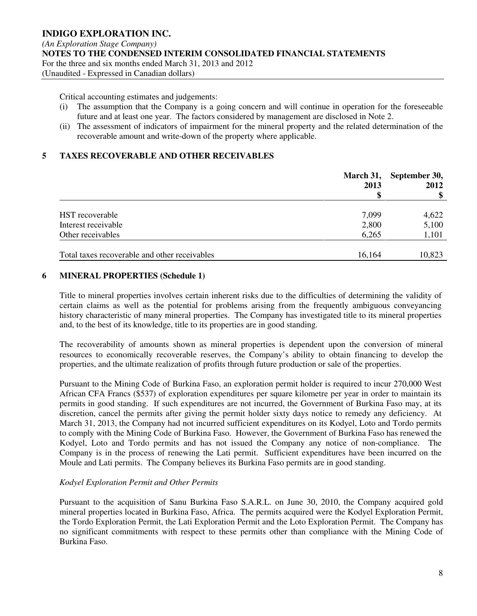Critical accounting estimates and judgements:

- (i) The assumption that the Company is a going concern and will continue in operation for the foreseeable future and at least one year. The factors considered by management are disclosed in Note 2.
- (ii) The assessment of indicators of impairment for the mineral property and the related determination of the recoverable amount and write-down of the property where applicable.

## **5 TAXES RECOVERABLE AND OTHER RECEIVABLES**

|                                               | March 31,<br>2013 | September 30,<br>2012 |
|-----------------------------------------------|-------------------|-----------------------|
|                                               |                   |                       |
| HST recoverable                               | 7,099             | 4,622                 |
| Interest receivable                           | 2,800             | 5,100                 |
| Other receivables                             | 6,265             | 1,101                 |
|                                               |                   |                       |
| Total taxes recoverable and other receivables | 16,164            | 10,823                |

## **6 MINERAL PROPERTIES (Schedule 1)**

Title to mineral properties involves certain inherent risks due to the difficulties of determining the validity of certain claims as well as the potential for problems arising from the frequently ambiguous conveyancing history characteristic of many mineral properties. The Company has investigated title to its mineral properties and, to the best of its knowledge, title to its properties are in good standing.

The recoverability of amounts shown as mineral properties is dependent upon the conversion of mineral resources to economically recoverable reserves, the Company's ability to obtain financing to develop the properties, and the ultimate realization of profits through future production or sale of the properties.

Pursuant to the Mining Code of Burkina Faso, an exploration permit holder is required to incur 270,000 West African CFA Francs (\$537) of exploration expenditures per square kilometre per year in order to maintain its permits in good standing. If such expenditures are not incurred, the Government of Burkina Faso may, at its discretion, cancel the permits after giving the permit holder sixty days notice to remedy any deficiency. At March 31, 2013, the Company had not incurred sufficient expenditures on its Kodyel, Loto and Tordo permits to comply with the Mining Code of Burkina Faso. However, the Government of Burkina Faso has renewed the Kodyel, Loto and Tordo permits and has not issued the Company any notice of non-compliance. The Company is in the process of renewing the Lati permit. Sufficient expenditures have been incurred on the Moule and Lati permits. The Company believes its Burkina Faso permits are in good standing.

#### *Kodyel Exploration Permit and Other Permits*

Pursuant to the acquisition of Sanu Burkina Faso S.A.R.L. on June 30, 2010, the Company acquired gold mineral properties located in Burkina Faso, Africa. The permits acquired were the Kodyel Exploration Permit, the Tordo Exploration Permit, the Lati Exploration Permit and the Loto Exploration Permit. The Company has no significant commitments with respect to these permits other than compliance with the Mining Code of Burkina Faso.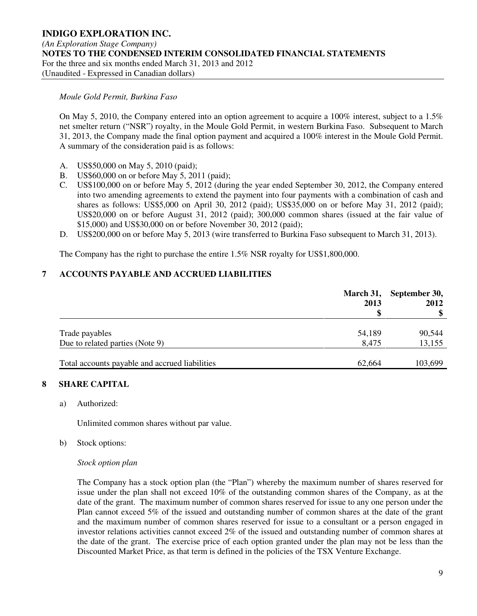#### *Moule Gold Permit, Burkina Faso*

On May 5, 2010, the Company entered into an option agreement to acquire a 100% interest, subject to a 1.5% net smelter return ("NSR") royalty, in the Moule Gold Permit, in western Burkina Faso. Subsequent to March 31, 2013, the Company made the final option payment and acquired a 100% interest in the Moule Gold Permit. A summary of the consideration paid is as follows:

- A. US\$50,000 on May 5, 2010 (paid);
- B. US\$60,000 on or before May 5, 2011 (paid);
- C. US\$100,000 on or before May 5, 2012 (during the year ended September 30, 2012, the Company entered into two amending agreements to extend the payment into four payments with a combination of cash and shares as follows: US\$5,000 on April 30, 2012 (paid); US\$35,000 on or before May 31, 2012 (paid); US\$20,000 on or before August 31, 2012 (paid); 300,000 common shares (issued at the fair value of \$15,000) and US\$30,000 on or before November 30, 2012 (paid);
- D. US\$200,000 on or before May 5, 2013 (wire transferred to Burkina Faso subsequent to March 31, 2013).

The Company has the right to purchase the entire 1.5% NSR royalty for US\$1,800,000.

## **7 ACCOUNTS PAYABLE AND ACCRUED LIABILITIES**

|                                                | 2013<br>S | March 31, September 30,<br>2012 |
|------------------------------------------------|-----------|---------------------------------|
|                                                |           |                                 |
| Trade payables                                 | 54,189    | 90,544                          |
| Due to related parties (Note 9)                | 8,475     | 13,155                          |
|                                                |           |                                 |
| Total accounts payable and accrued liabilities | 62,664    | 103,699                         |

#### **8 SHARE CAPITAL**

a) Authorized:

Unlimited common shares without par value.

b) Stock options:

#### *Stock option plan*

The Company has a stock option plan (the "Plan") whereby the maximum number of shares reserved for issue under the plan shall not exceed 10% of the outstanding common shares of the Company, as at the date of the grant. The maximum number of common shares reserved for issue to any one person under the Plan cannot exceed 5% of the issued and outstanding number of common shares at the date of the grant and the maximum number of common shares reserved for issue to a consultant or a person engaged in investor relations activities cannot exceed 2% of the issued and outstanding number of common shares at the date of the grant. The exercise price of each option granted under the plan may not be less than the Discounted Market Price, as that term is defined in the policies of the TSX Venture Exchange.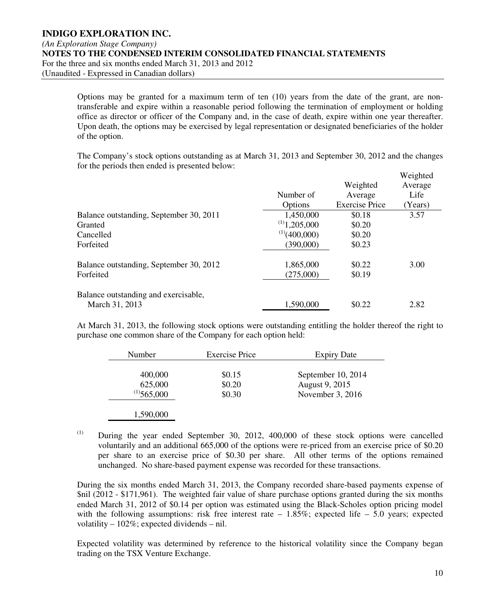Options may be granted for a maximum term of ten (10) years from the date of the grant, are nontransferable and expire within a reasonable period following the termination of employment or holding office as director or officer of the Company and, in the case of death, expire within one year thereafter. Upon death, the options may be exercised by legal representation or designated beneficiaries of the holder of the option.

The Company's stock options outstanding as at March 31, 2013 and September 30, 2012 and the changes for the periods then ended is presented below:

|                                         |                    |                       | Weighted |
|-----------------------------------------|--------------------|-----------------------|----------|
|                                         |                    | Weighted              | Average  |
|                                         | Number of          | Average               | Life     |
|                                         | Options            | <b>Exercise Price</b> | (Years)  |
| Balance outstanding, September 30, 2011 | 1,450,000          | \$0.18                | 3.57     |
| Granted                                 | $^{(1)}$ 1,205,000 | \$0.20                |          |
| Cancelled                               | $^{(1)}(400,000)$  | \$0.20                |          |
| Forfeited                               | (390,000)          | \$0.23                |          |
| Balance outstanding, September 30, 2012 | 1,865,000          | \$0.22                | 3.00     |
| Forfeited                               | (275,000)          | \$0.19                |          |
| Balance outstanding and exercisable,    |                    |                       |          |
| March 31, 2013                          | 1,590,000          | \$0.22                | 2.82     |

At March 31, 2013, the following stock options were outstanding entitling the holder thereof the right to purchase one common share of the Company for each option held:

| <b>Number</b>                          | <b>Exercise Price</b>      | <b>Expiry Date</b>                                       |
|----------------------------------------|----------------------------|----------------------------------------------------------|
| 400,000<br>625,000<br>$^{(1)}$ 565,000 | \$0.15<br>\$0.20<br>\$0.30 | September 10, 2014<br>August 9, 2015<br>November 3, 2016 |
|                                        |                            |                                                          |

1,590,000

(1) During the year ended September 30, 2012, 400,000 of these stock options were cancelled voluntarily and an additional 665,000 of the options were re-priced from an exercise price of \$0.20 per share to an exercise price of \$0.30 per share. All other terms of the options remained unchanged. No share-based payment expense was recorded for these transactions.

During the six months ended March 31, 2013, the Company recorded share-based payments expense of \$nil (2012 - \$171,961). The weighted fair value of share purchase options granted during the six months ended March 31, 2012 of \$0.14 per option was estimated using the Black-Scholes option pricing model with the following assumptions: risk free interest rate  $-1.85\%$ ; expected life  $-5.0$  years; expected volatility – 102%; expected dividends – nil.

Expected volatility was determined by reference to the historical volatility since the Company began trading on the TSX Venture Exchange.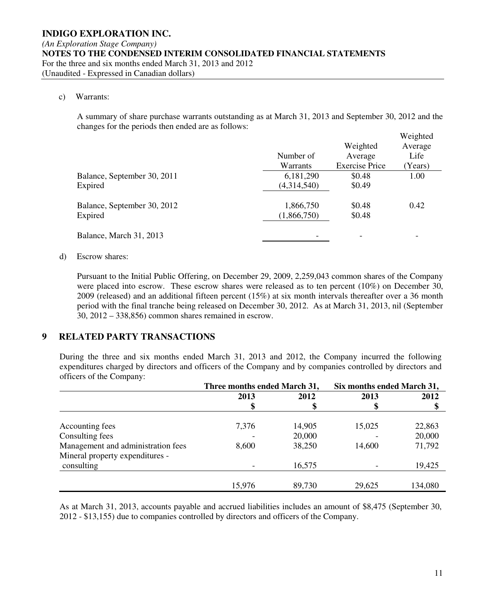#### c) Warrants:

A summary of share purchase warrants outstanding as at March 31, 2013 and September 30, 2012 and the changes for the periods then ended are as follows:

|                             | Number of<br>Warrants | Weighted<br>Average<br><b>Exercise Price</b> | Weighted<br>Average<br>Life<br>(Years) |
|-----------------------------|-----------------------|----------------------------------------------|----------------------------------------|
| Balance, September 30, 2011 | 6,181,290             | \$0.48                                       | 1.00                                   |
| Expired                     | (4,314,540)           | \$0.49                                       |                                        |
| Balance, September 30, 2012 | 1,866,750             | \$0.48                                       | 0.42                                   |
| Expired                     | (1,866,750)           | \$0.48                                       |                                        |
| Balance, March 31, 2013     |                       | ۰                                            |                                        |

#### d) Escrow shares:

Pursuant to the Initial Public Offering, on December 29, 2009, 2,259,043 common shares of the Company were placed into escrow. These escrow shares were released as to ten percent (10%) on December 30, 2009 (released) and an additional fifteen percent (15%) at six month intervals thereafter over a 36 month period with the final tranche being released on December 30, 2012. As at March 31, 2013, nil (September 30, 2012 – 338,856) common shares remained in escrow.

## **9 RELATED PARTY TRANSACTIONS**

During the three and six months ended March 31, 2013 and 2012, the Company incurred the following expenditures charged by directors and officers of the Company and by companies controlled by directors and officers of the Company:

|                                    | Three months ended March 31, |        | Six months ended March 31, |         |
|------------------------------------|------------------------------|--------|----------------------------|---------|
|                                    | 2013                         | 2012   | 2013                       | 2012    |
|                                    |                              |        |                            |         |
|                                    |                              |        |                            |         |
| Accounting fees                    | 7,376                        | 14,905 | 15,025                     | 22,863  |
| Consulting fees                    |                              | 20,000 |                            | 20,000  |
| Management and administration fees | 8,600                        | 38,250 | 14,600                     | 71,792  |
| Mineral property expenditures -    |                              |        |                            |         |
| consulting                         |                              | 16,575 |                            | 19,425  |
|                                    |                              |        |                            |         |
|                                    | 15,976                       | 89,730 | 29,625                     | 134,080 |

As at March 31, 2013, accounts payable and accrued liabilities includes an amount of \$8,475 (September 30, 2012 - \$13,155) due to companies controlled by directors and officers of the Company.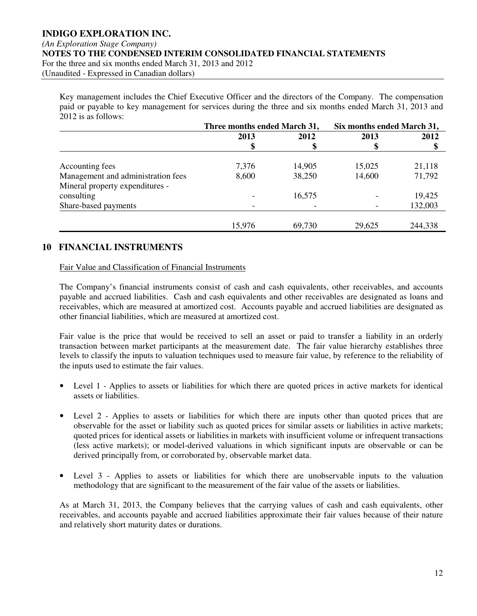#### *(An Exploration Stage Company)*

**NOTES TO THE CONDENSED INTERIM CONSOLIDATED FINANCIAL STATEMENTS** 

For the three and six months ended March 31, 2013 and 2012

(Unaudited - Expressed in Canadian dollars)

Key management includes the Chief Executive Officer and the directors of the Company. The compensation paid or payable to key management for services during the three and six months ended March 31, 2013 and 2012 is as follows:

|                                    | Three months ended March 31, |        | Six months ended March 31, |         |
|------------------------------------|------------------------------|--------|----------------------------|---------|
|                                    | 2013                         | 2012   | 2013                       | 2012    |
|                                    |                              |        |                            |         |
| Accounting fees                    | 7,376                        | 14,905 | 15,025                     | 21,118  |
| Management and administration fees | 8,600                        | 38,250 | 14,600                     | 71,792  |
| Mineral property expenditures -    |                              |        |                            |         |
| consulting                         |                              | 16,575 |                            | 19,425  |
| Share-based payments               |                              |        |                            | 132,003 |
|                                    | 15,976                       | 69,730 | 29,625                     | 244,338 |

## **10 FINANCIAL INSTRUMENTS**

#### Fair Value and Classification of Financial Instruments

The Company's financial instruments consist of cash and cash equivalents, other receivables, and accounts payable and accrued liabilities. Cash and cash equivalents and other receivables are designated as loans and receivables, which are measured at amortized cost. Accounts payable and accrued liabilities are designated as other financial liabilities, which are measured at amortized cost.

Fair value is the price that would be received to sell an asset or paid to transfer a liability in an orderly transaction between market participants at the measurement date. The fair value hierarchy establishes three levels to classify the inputs to valuation techniques used to measure fair value, by reference to the reliability of the inputs used to estimate the fair values.

- Level 1 Applies to assets or liabilities for which there are quoted prices in active markets for identical assets or liabilities.
- Level 2 Applies to assets or liabilities for which there are inputs other than quoted prices that are observable for the asset or liability such as quoted prices for similar assets or liabilities in active markets; quoted prices for identical assets or liabilities in markets with insufficient volume or infrequent transactions (less active markets); or model-derived valuations in which significant inputs are observable or can be derived principally from, or corroborated by, observable market data.
- Level 3 Applies to assets or liabilities for which there are unobservable inputs to the valuation methodology that are significant to the measurement of the fair value of the assets or liabilities.

As at March 31, 2013, the Company believes that the carrying values of cash and cash equivalents, other receivables, and accounts payable and accrued liabilities approximate their fair values because of their nature and relatively short maturity dates or durations.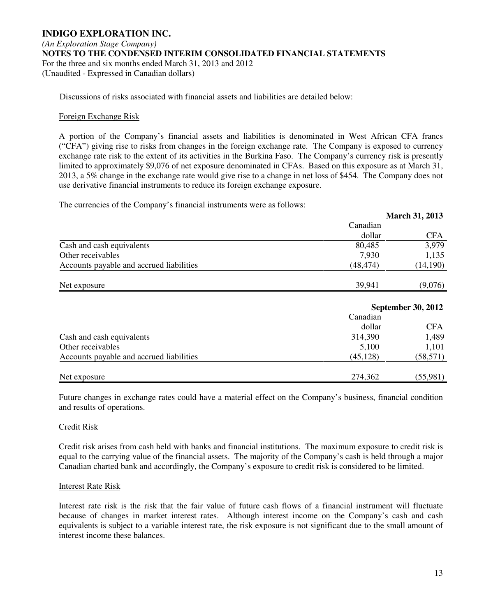Discussions of risks associated with financial assets and liabilities are detailed below:

#### Foreign Exchange Risk

A portion of the Company's financial assets and liabilities is denominated in West African CFA francs ("CFA") giving rise to risks from changes in the foreign exchange rate. The Company is exposed to currency exchange rate risk to the extent of its activities in the Burkina Faso. The Company's currency risk is presently limited to approximately \$9,076 of net exposure denominated in CFAs. Based on this exposure as at March 31, 2013, a 5% change in the exchange rate would give rise to a change in net loss of \$454. The Company does not use derivative financial instruments to reduce its foreign exchange exposure.

The currencies of the Company's financial instruments were as follows:

|                                          |           | <b>March 31, 2013</b> |
|------------------------------------------|-----------|-----------------------|
|                                          | Canadian  |                       |
|                                          | dollar    | <b>CFA</b>            |
| Cash and cash equivalents                | 80,485    | 3,979                 |
| Other receivables                        | 7,930     | 1,135                 |
| Accounts payable and accrued liabilities | (48, 474) | (14,190)              |
| Net exposure                             | 39,941    | (9,076)               |

|                                          | <b>September 30, 2012</b> |            |  |
|------------------------------------------|---------------------------|------------|--|
|                                          | Canadian                  |            |  |
|                                          | dollar                    | <b>CFA</b> |  |
| Cash and cash equivalents                | 314,390                   | 1,489      |  |
| Other receivables                        | 5,100                     | 1,101      |  |
| Accounts payable and accrued liabilities | (45, 128)                 | (58, 571)  |  |
| Net exposure                             | 274,362                   | (55,981)   |  |

Future changes in exchange rates could have a material effect on the Company's business, financial condition and results of operations.

#### Credit Risk

Credit risk arises from cash held with banks and financial institutions. The maximum exposure to credit risk is equal to the carrying value of the financial assets. The majority of the Company's cash is held through a major Canadian charted bank and accordingly, the Company's exposure to credit risk is considered to be limited.

#### Interest Rate Risk

Interest rate risk is the risk that the fair value of future cash flows of a financial instrument will fluctuate because of changes in market interest rates. Although interest income on the Company's cash and cash equivalents is subject to a variable interest rate, the risk exposure is not significant due to the small amount of interest income these balances.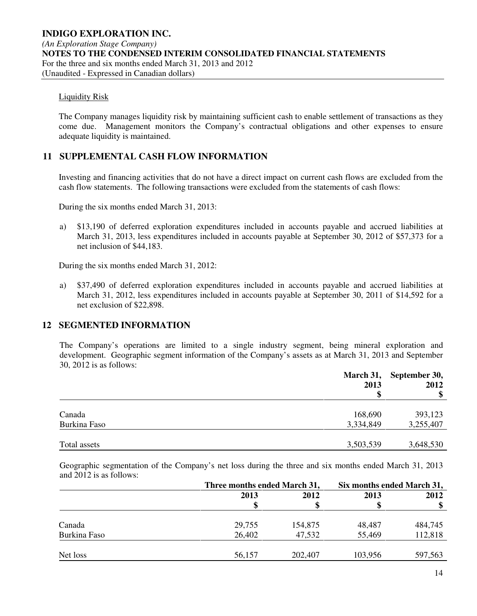#### Liquidity Risk

The Company manages liquidity risk by maintaining sufficient cash to enable settlement of transactions as they come due. Management monitors the Company's contractual obligations and other expenses to ensure adequate liquidity is maintained.

## **11 SUPPLEMENTAL CASH FLOW INFORMATION**

Investing and financing activities that do not have a direct impact on current cash flows are excluded from the cash flow statements. The following transactions were excluded from the statements of cash flows:

During the six months ended March 31, 2013:

a) \$13,190 of deferred exploration expenditures included in accounts payable and accrued liabilities at March 31, 2013, less expenditures included in accounts payable at September 30, 2012 of \$57,373 for a net inclusion of \$44,183.

During the six months ended March 31, 2012:

a) \$37,490 of deferred exploration expenditures included in accounts payable and accrued liabilities at March 31, 2012, less expenditures included in accounts payable at September 30, 2011 of \$14,592 for a net exclusion of \$22,898.

## **12 SEGMENTED INFORMATION**

The Company's operations are limited to a single industry segment, being mineral exploration and development. Geographic segment information of the Company's assets as at March 31, 2013 and September 30, 2012 is as follows:

|              | 2013      | March 31, September 30,<br>2012 |
|--------------|-----------|---------------------------------|
|              | \$        |                                 |
| Canada       | 168,690   | 393,123                         |
| Burkina Faso | 3,334,849 | 3,255,407                       |
| Total assets | 3,503,539 | 3,648,530                       |

Geographic segmentation of the Company's net loss during the three and six months ended March 31, 2013 and 2012 is as follows:

|              | Three months ended March 31, |         | Six months ended March 31, |         |  |
|--------------|------------------------------|---------|----------------------------|---------|--|
|              | 2013                         | 2012    | 2013                       | 2012    |  |
|              |                              |         |                            |         |  |
|              |                              |         |                            |         |  |
| Canada       | 29,755                       | 154,875 | 48,487                     | 484,745 |  |
| Burkina Faso | 26,402                       | 47,532  | 55,469                     | 112,818 |  |
| Net loss     | 56,157                       | 202,407 | 103,956                    | 597,563 |  |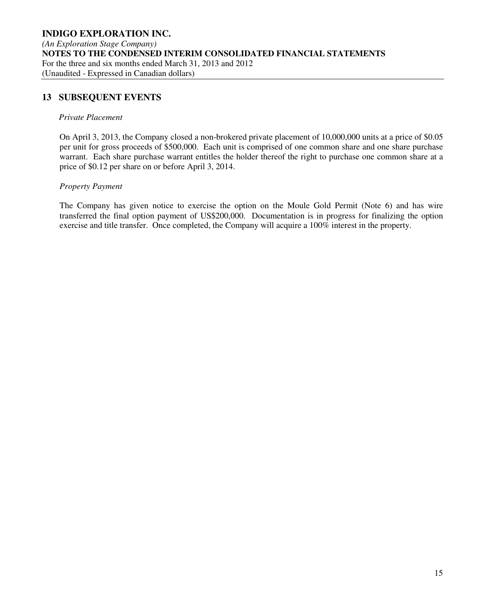## **13 SUBSEQUENT EVENTS**

#### *Private Placement*

On April 3, 2013, the Company closed a non-brokered private placement of 10,000,000 units at a price of \$0.05 per unit for gross proceeds of \$500,000. Each unit is comprised of one common share and one share purchase warrant. Each share purchase warrant entitles the holder thereof the right to purchase one common share at a price of \$0.12 per share on or before April 3, 2014.

#### *Property Payment*

The Company has given notice to exercise the option on the Moule Gold Permit (Note 6) and has wire transferred the final option payment of US\$200,000. Documentation is in progress for finalizing the option exercise and title transfer. Once completed, the Company will acquire a 100% interest in the property.